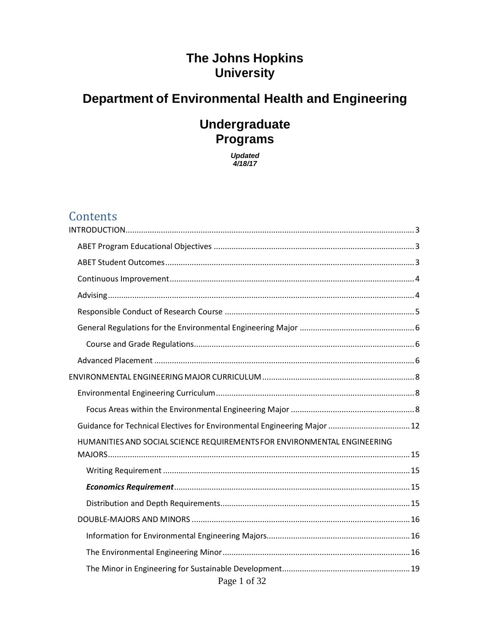# **The Johns Hopkins University**

# **Department of Environmental Health and Engineering**

# **Undergraduate Programs**

*Updated 4/18/17*

# **Contents**

| Guidance for Technical Electives for Environmental Engineering Major  12 |
|--------------------------------------------------------------------------|
| HUMANITIES AND SOCIAL SCIENCE REQUIREMENTS FOR ENVIRONMENTAL ENGINEERING |
|                                                                          |
|                                                                          |
|                                                                          |
|                                                                          |
|                                                                          |
|                                                                          |
| Page 1 of 32                                                             |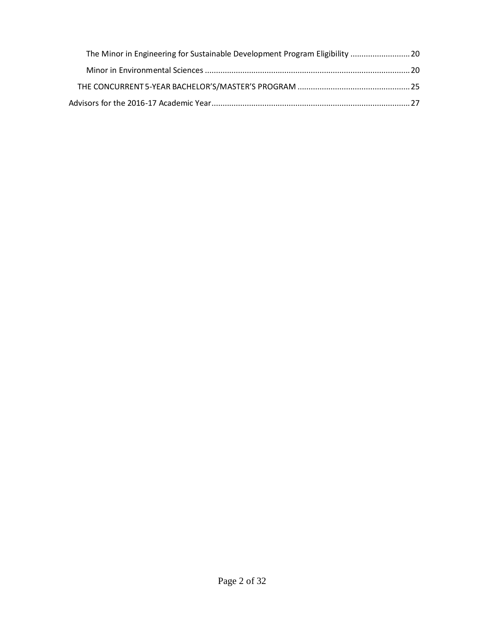| The Minor in Engineering for Sustainable Development Program Eligibility  20 |
|------------------------------------------------------------------------------|
|                                                                              |
|                                                                              |
|                                                                              |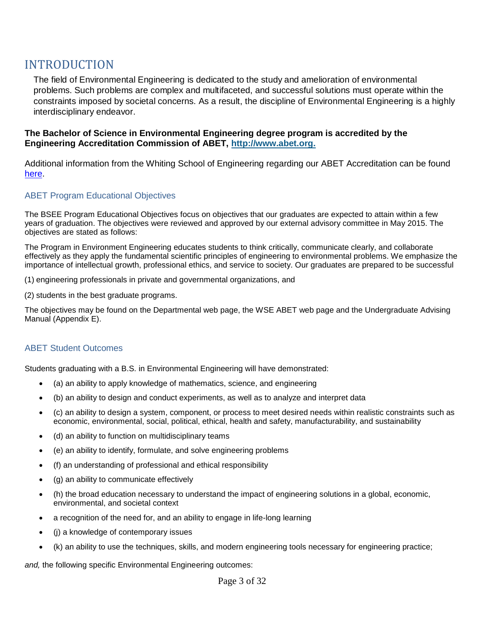## <span id="page-2-0"></span>INTRODUCTION

The field of Environmental Engineering is dedicated to the study and amelioration of environmental problems. Such problems are complex and multifaceted, and successful solutions must operate within the constraints imposed by societal concerns. As a result, the discipline of Environmental Engineering is a highly interdisciplinary endeavor.

#### **The Bachelor of Science in Environmental Engineering degree program is accredited by the Engineering Accreditation Commission of ABET, [http://www.abet.org.](http://www.abet.org/)**

Additional information from the Whiting School of Engineering regarding our ABET Accreditation can be found [here.](https://engineering.jhu.edu/undergraduate-studies/academic-policies-procedures-undergraduate/abet/)

#### <span id="page-2-1"></span>ABET Program Educational Objectives

The BSEE Program Educational Objectives focus on objectives that our graduates are expected to attain within a few years of graduation. The objectives were reviewed and approved by our external advisory committee in May 2015. The objectives are stated as follows:

The Program in Environment Engineering educates students to think critically, communicate clearly, and collaborate effectively as they apply the fundamental scientific principles of engineering to environmental problems. We emphasize the importance of intellectual growth, professional ethics, and service to society. Our graduates are prepared to be successful

(1) engineering professionals in private and governmental organizations, and

(2) students in the best graduate programs.

The objectives may be found on the Departmental web page, the WSE ABET web page and the Undergraduate Advising Manual (Appendix E).

#### <span id="page-2-2"></span>ABET Student Outcomes

Students graduating with a B.S. in Environmental Engineering will have demonstrated:

- (a) an ability to apply knowledge of mathematics, science, and engineering
- (b) an ability to design and conduct experiments, as well as to analyze and interpret data
- (c) an ability to design a system, component, or process to meet desired needs within realistic constraints such as economic, environmental, social, political, ethical, health and safety, manufacturability, and sustainability
- (d) an ability to function on multidisciplinary teams
- (e) an ability to identify, formulate, and solve engineering problems
- (f) an understanding of professional and ethical responsibility
- (g) an ability to communicate effectively
- (h) the broad education necessary to understand the impact of engineering solutions in a global, economic, environmental, and societal context
- a recognition of the need for, and an ability to engage in life-long learning
- (j) a knowledge of contemporary issues
- (k) an ability to use the techniques, skills, and modern engineering tools necessary for engineering practice;

*and,* the following specific Environmental Engineering outcomes: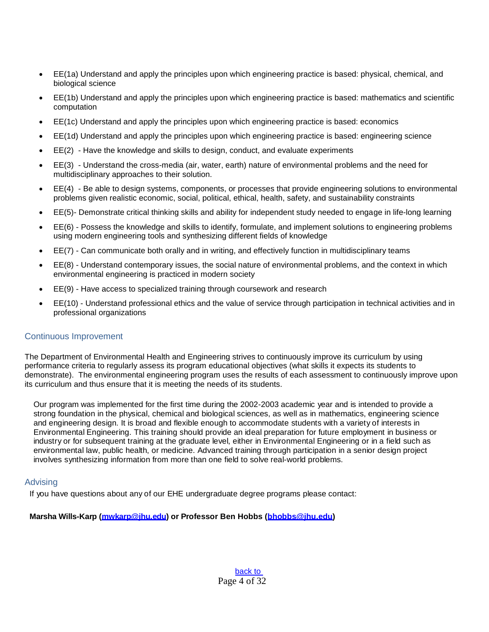- EE(1a) Understand and apply the principles upon which engineering practice is based: physical, chemical, and biological science
- EE(1b) Understand and apply the principles upon which engineering practice is based: mathematics and scientific computation
- EE(1c) Understand and apply the principles upon which engineering practice is based: economics
- EE(1d) Understand and apply the principles upon which engineering practice is based: engineering science
- EE(2) Have the knowledge and skills to design, conduct, and evaluate experiments
- EE(3) Understand the cross-media (air, water, earth) nature of environmental problems and the need for multidisciplinary approaches to their solution.
- EE(4) Be able to design systems, components, or processes that provide engineering solutions to environmental problems given realistic economic, social, political, ethical, health, safety, and sustainability constraints
- EE(5)- Demonstrate critical thinking skills and ability for independent study needed to engage in life-long learning
- EE(6) Possess the knowledge and skills to identify, formulate, and implement solutions to engineering problems using modern engineering tools and synthesizing different fields of knowledge
- EE(7) Can communicate both orally and in writing, and effectively function in multidisciplinary teams
- EE(8) Understand contemporary issues, the social nature of environmental problems, and the context in which environmental engineering is practiced in modern society
- EE(9) Have access to specialized training through coursework and research
- EE(10) Understand professional ethics and the value of service through participation in technical activities and in professional organizations

#### <span id="page-3-0"></span>Continuous Improvement

The Department of Environmental Health and Engineering strives to continuously improve its curriculum by using performance criteria to regularly assess its program educational objectives (what skills it expects its students to demonstrate). The environmental engineering program uses the results of each assessment to continuously improve upon its curriculum and thus ensure that it is meeting the needs of its students.

Our program was implemented for the first time during the 2002-2003 academic year and is intended to provide a strong foundation in the physical, chemical and biological sciences, as well as in mathematics, engineering science and engineering design. It is broad and flexible enough to accommodate students with a variety of interests in Environmental Engineering. This training should provide an ideal preparation for future employment in business or industry or for subsequent training at the graduate level, either in Environmental Engineering or in a field such as environmental law, public health, or medicine. Advanced training through participation in a senior design project involves synthesizing information from more than one field to solve real-world problems.

#### <span id="page-3-1"></span>Advising

If you have questions about any of our EHE undergraduate degree programs please contact:

#### **Marsha Wills-Karp [\(mwkarp@jhu.edu\)](mailto:mwkarp@jhu.edu) or Professor Ben Hobbs [\(bhobbs@jhu.edu\)](mailto:bhobbs@jhu.edu)**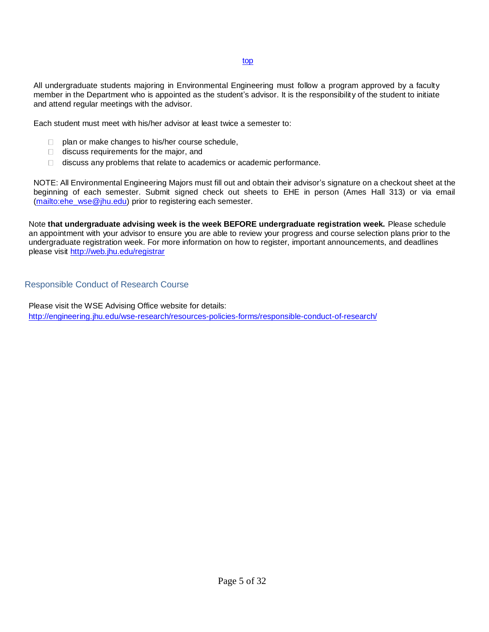#### top

All undergraduate students majoring in Environmental Engineering must follow a program approved by a faculty member in the Department who is appointed as the student's advisor. It is the responsibility of the student to initiate and attend regular meetings with the advisor.

Each student must meet with his/her advisor at least twice a semester to:

- $\Box$  plan or make changes to his/her course schedule,
- discuss requirements for the major, and
- discuss any problems that relate to academics or academic performance.

NOTE: All Environmental Engineering Majors must fill out and obtain their advisor's signature on a checkout sheet at the beginning of each semester. Submit signed check out sheets to EHE in person (Ames Hall 313) or via email [\(mailto:ehe\\_wse@jhu.edu\)](mailto:ehe_wse@jhu.edu) prior to registering each semester.

Note **that undergraduate advising week is the week BEFORE undergraduate registration week.** Please schedule an appointment with your advisor to ensure you are able to review your progress and course selection plans prior to the undergraduate registration week. For more information on how to register, important announcements, and deadlines please visit<http://web.jhu.edu/registrar>

#### <span id="page-4-0"></span>Responsible Conduct of Research Course

Please visit the WSE Advising Office website for details: <http://engineering.jhu.edu/wse-research/resources-policies-forms/responsible-conduct-of-research/>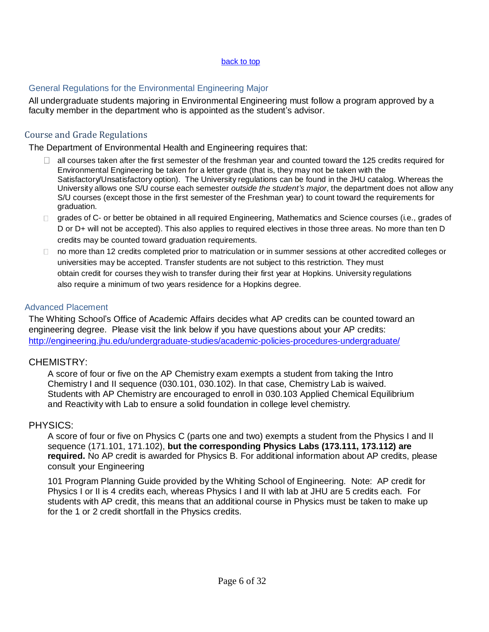#### back to top

### <span id="page-5-0"></span>General Regulations for the Environmental Engineering Major

All undergraduate students majoring in Environmental Engineering must follow a program approved by a faculty member in the department who is appointed as the student's advisor.

### <span id="page-5-1"></span>Course and Grade Regulations

The Department of Environmental Health and Engineering requires that:

- $\Box$ all courses taken after the first semester of the freshman year and counted toward the 125 credits required for Environmental Engineering be taken for a letter grade (that is, they may not be taken with the Satisfactory/Unsatisfactory option). The University regulations can be found in the JHU catalog. Whereas the University allows one S/U course each semester *outside the student's major*, the department does not allow any S/U courses (except those in the first semester of the Freshman year) to count toward the requirements for graduation.
- □ grades of C- or better be obtained in all required Engineering, Mathematics and Science courses (i.e., grades of D or D+ will not be accepted). This also applies to required electives in those three areas. No more than ten D credits may be counted toward graduation requirements.
- □ no more than 12 credits completed prior to matriculation or in summer sessions at other accredited colleges or universities may be accepted. Transfer students are not subject to this restriction. They must obtain credit for courses they wish to transfer during their first year at Hopkins. University regulations also require a minimum of two years residence for a Hopkins degree.

#### <span id="page-5-2"></span>Advanced Placement

The Whiting School's Office of Academic Affairs decides what AP credits can be counted toward an engineering degree. Please visit the link below if you have questions about your AP credits: <http://engineering.jhu.edu/undergraduate-studies/academic-policies-procedures-undergraduate/>

### CHEMISTRY:

A score of four or five on the AP Chemistry exam exempts a student from taking the Intro Chemistry I and II sequence (030.101, 030.102). In that case, Chemistry Lab is waived. Students with AP Chemistry are encouraged to enroll in 030.103 Applied Chemical Equilibrium and Reactivity with Lab to ensure a solid foundation in college level chemistry.

### PHYSICS:

A score of four or five on Physics C (parts one and two) exempts a student from the Physics I and II sequence (171.101, 171.102), **but the corresponding Physics Labs (173.111, 173.112) are required.** No AP credit is awarded for Physics B. For additional information about AP credits, please consult your Engineering

101 Program Planning Guide provided by the Whiting School of Engineering. Note: AP credit for Physics I or II is 4 credits each, whereas Physics I and II with lab at JHU are 5 credits each. For students with AP credit, this means that an additional course in Physics must be taken to make up for the 1 or 2 credit shortfall in the Physics credits.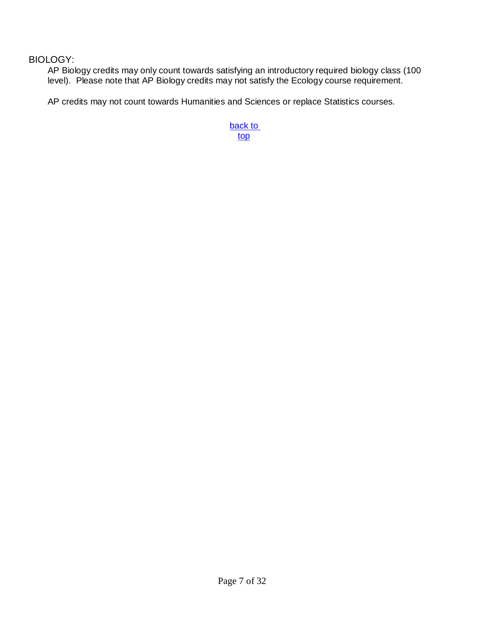## BIOLOGY:

AP Biology credits may only count towards satisfying an introductory required biology class (100 level). Please note that AP Biology credits may not satisfy the Ecology course requirement.

AP credits may not count towards Humanities and Sciences or replace Statistics courses.

back to top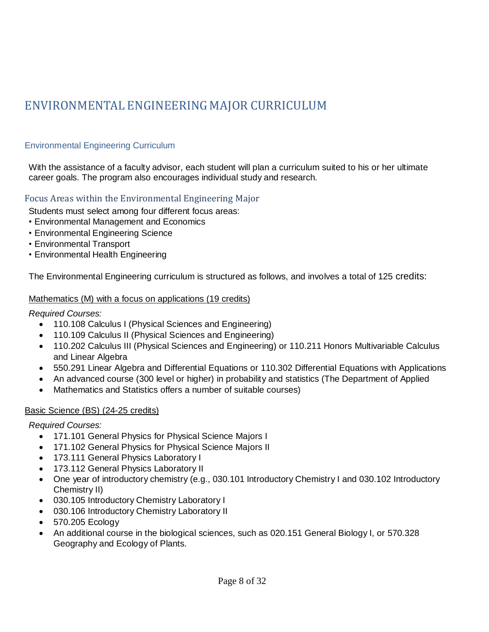# <span id="page-7-0"></span>ENVIRONMENTAL ENGINEERING MAJOR CURRICULUM

## <span id="page-7-1"></span>Environmental Engineering Curriculum

With the assistance of a faculty advisor, each student will plan a curriculum suited to his or her ultimate career goals. The program also encourages individual study and research.

### <span id="page-7-2"></span>Focus Areas within the Environmental Engineering Major

Students must select among four different focus areas:

- Environmental Management and Economics
- Environmental Engineering Science
- Environmental Transport
- Environmental Health Engineering

The Environmental Engineering curriculum is structured as follows, and involves a total of 125 credits:

#### Mathematics (M) with a focus on applications (19 credits)

#### *Required Courses:*

- 110.108 Calculus I (Physical Sciences and Engineering)
- 110.109 Calculus II (Physical Sciences and Engineering)
- 110.202 Calculus III (Physical Sciences and Engineering) or 110.211 Honors Multivariable Calculus and Linear Algebra
- 550.291 Linear Algebra and Differential Equations or 110.302 Differential Equations with Applications
- An advanced course (300 level or higher) in probability and statistics (The Department of Applied
- Mathematics and Statistics offers a number of suitable courses)

#### Basic Science (BS) (24-25 credits)

*Required Courses:*

- 171.101 General Physics for Physical Science Majors I
- 171.102 General Physics for Physical Science Majors II
- 173.111 General Physics Laboratory I
- 173.112 General Physics Laboratory II
- One year of introductory chemistry (e.g., 030.101 Introductory Chemistry I and 030.102 Introductory Chemistry II)
- 030.105 Introductory Chemistry Laboratory I
- 030.106 Introductory Chemistry Laboratory II
- 570.205 Ecology
- An additional course in the biological sciences, such as 020.151 General Biology I, or 570.328 Geography and Ecology of Plants.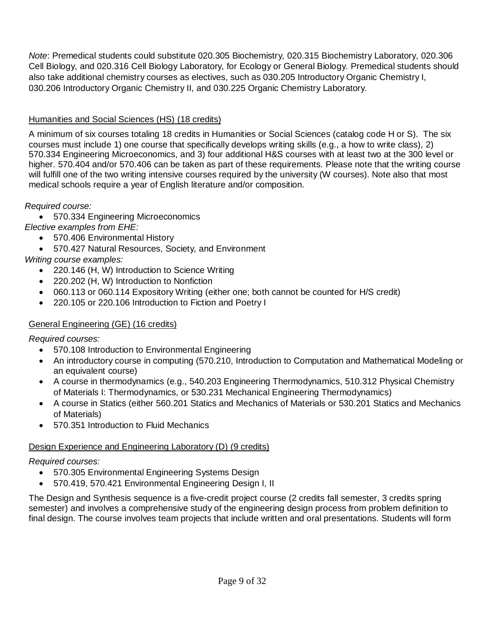*Note*: Premedical students could substitute 020.305 Biochemistry, 020.315 Biochemistry Laboratory, 020.306 Cell Biology, and 020.316 Cell Biology Laboratory, for Ecology or General Biology. Premedical students should also take additional chemistry courses as electives, such as 030.205 Introductory Organic Chemistry I, 030.206 Introductory Organic Chemistry II, and 030.225 Organic Chemistry Laboratory.

## Humanities and Social Sciences (HS) (18 credits)

A minimum of six courses totaling 18 credits in Humanities or Social Sciences (catalog code H or S). The six courses must include 1) one course that specifically develops writing skills (e.g., a how to write class), 2) 570.334 Engineering Microeconomics, and 3) four additional H&S courses with at least two at the 300 level or higher. 570.404 and/or 570.406 can be taken as part of these requirements. Please note that the writing course will fulfill one of the two writing intensive courses required by the university (W courses). Note also that most medical schools require a year of English literature and/or composition.

*Required course:*

570.334 Engineering Microeconomics

*Elective examples from EHE:*

- 570.406 Environmental History
- 570.427 Natural Resources, Society, and Environment

*Writing course examples:*

- 220.146 (H, W) Introduction to Science Writing
- 220.202 (H, W) Introduction to Nonfiction
- 060.113 or 060.114 Expository Writing (either one; both cannot be counted for H/S credit)
- 220.105 or 220.106 Introduction to Fiction and Poetry I

### General Engineering (GE) (16 credits)

*Required courses:*

- 570.108 Introduction to Environmental Engineering
- An introductory course in computing (570.210, Introduction to Computation and Mathematical Modeling or an equivalent course)
- A course in thermodynamics (e.g., 540.203 Engineering Thermodynamics, 510.312 Physical Chemistry of Materials I: Thermodynamics, or 530.231 Mechanical Engineering Thermodynamics)
- A course in Statics (either 560.201 Statics and Mechanics of Materials or 530.201 Statics and Mechanics of Materials)
- 570.351 Introduction to Fluid Mechanics

### Design Experience and Engineering Laboratory (D) (9 credits)

*Required courses:*

- 570.305 Environmental Engineering Systems Design
- 570.419, 570.421 Environmental Engineering Design I, II

The Design and Synthesis sequence is a five-credit project course (2 credits fall semester, 3 credits spring semester) and involves a comprehensive study of the engineering design process from problem definition to final design. The course involves team projects that include written and oral presentations. Students will form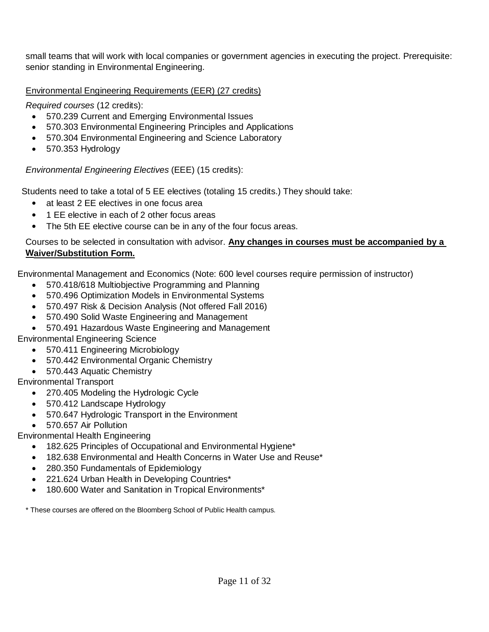small teams that will work with local companies or government agencies in executing the project. Prerequisite: senior standing in Environmental Engineering.

Environmental Engineering Requirements (EER) (27 credits)

*Required courses* (12 credits):

- 570.239 Current and Emerging Environmental Issues
- 570.303 Environmental Engineering Principles and Applications
- 570.304 Environmental Engineering and Science Laboratory
- 570.353 Hydrology

## *Environmental Engineering Electives* (EEE) (15 credits):

Students need to take a total of 5 EE electives (totaling 15 credits.) They should take:

- at least 2 EE electives in one focus area
- 1 EE elective in each of 2 other focus areas
- The 5th EE elective course can be in any of the four focus areas.

### Courses to be selected in consultation with advisor. **Any changes in courses must be accompanied by a Waiver/Substitution Form.**

Environmental Management and Economics (Note: 600 level courses require permission of instructor)

- 570.418/618 Multiobjective Programming and Planning
- 570.496 Optimization Models in Environmental Systems
- 570.497 Risk & Decision Analysis (Not offered Fall 2016)
- 570.490 Solid Waste Engineering and Management
- 570.491 Hazardous Waste Engineering and Management
- Environmental Engineering Science
	- 570.411 Engineering Microbiology
	- 570.442 Environmental Organic Chemistry
	- 570.443 Aquatic Chemistry

## Environmental Transport

- 270.405 Modeling the Hydrologic Cycle
- 570.412 Landscape Hydrology
- 570.647 Hydrologic Transport in the Environment
- 570.657 Air Pollution

## Environmental Health Engineering

- 182.625 Principles of Occupational and Environmental Hygiene<sup>\*</sup>
- 182.638 Environmental and Health Concerns in Water Use and Reuse\*
- 280.350 Fundamentals of Epidemiology
- 221.624 Urban Health in Developing Countries\*
- 180.600 Water and Sanitation in Tropical Environments\*

\* These courses are offered on the Bloomberg School of Public Health campus.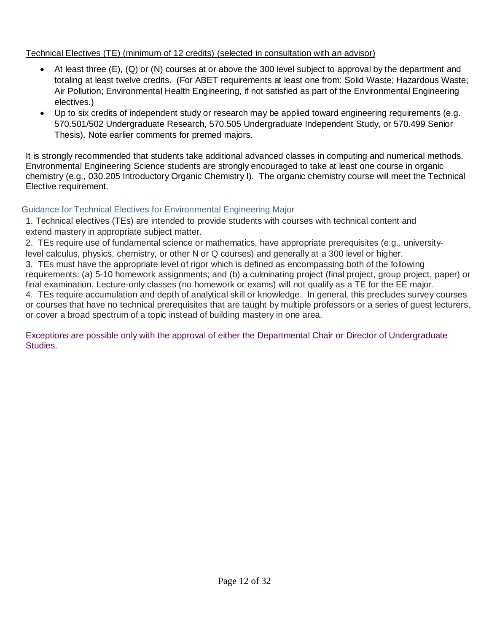### Technical Electives (TE) (minimum of 12 credits) (selected in consultation with an advisor)

- At least three (E), (Q) or (N) courses at or above the 300 level subject to approval by the department and totaling at least twelve credits. (For ABET requirements at least one from: Solid Waste; Hazardous Waste; Air Pollution; Environmental Health Engineering, if not satisfied as part of the Environmental Engineering electives.)
- Up to six credits of independent study or research may be applied toward engineering requirements (e.g. 570.501/502 Undergraduate Research, 570.505 Undergraduate Independent Study, or 570.499 Senior Thesis). Note earlier comments for premed majors.

It is strongly recommended that students take additional advanced classes in computing and numerical methods. Environmental Engineering Science students are strongly encouraged to take at least one course in organic chemistry (e.g., 030.205 Introductory Organic Chemistry I). The organic chemistry course will meet the Technical Elective requirement.

### <span id="page-10-0"></span>Guidance for Technical Electives for Environmental Engineering Major

1. Technical electives (TEs) are intended to provide students with courses with technical content and extend mastery in appropriate subject matter.

2. TEs require use of fundamental science or mathematics, have appropriate prerequisites (e.g., universitylevel calculus, physics, chemistry, or other N or Q courses) and generally at a 300 level or higher.

3. TEs must have the appropriate level of rigor which is defined as encompassing both of the following

requirements: (a) 5-10 homework assignments; and (b) a culminating project (final project, group project, paper) or final examination. Lecture-only classes (no homework or exams) will not qualify as a TE for the EE major.

4. TEs require accumulation and depth of analytical skill or knowledge. In general, this precludes survey courses or courses that have no technical prerequisites that are taught by multiple professors or a series of guest lecturers, or cover a broad spectrum of a topic instead of building mastery in one area.

Exceptions are possible only with the approval of either the Departmental Chair or Director of Undergraduate Studies.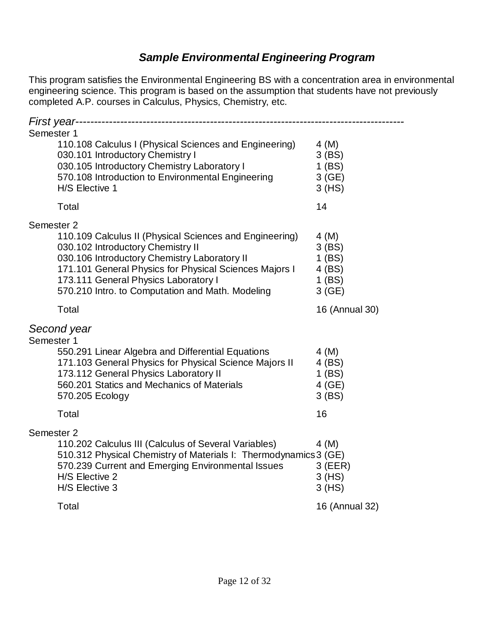## *Sample Environmental Engineering Program*

This program satisfies the Environmental Engineering BS with a concentration area in environmental engineering science. This program is based on the assumption that students have not previously completed A.P. courses in Calculus, Physics, Chemistry, etc.

| First year-                                                                                                 |                      |
|-------------------------------------------------------------------------------------------------------------|----------------------|
| Semester 1                                                                                                  |                      |
| 110.108 Calculus I (Physical Sciences and Engineering)                                                      | 4(M)                 |
| 030.101 Introductory Chemistry I<br>030.105 Introductory Chemistry Laboratory I                             | $3$ (BS)<br>$1$ (BS) |
| 570.108 Introduction to Environmental Engineering                                                           | 3(GE)                |
| H/S Elective 1                                                                                              | 3(HS)                |
| Total                                                                                                       | 14                   |
| Semester <sub>2</sub>                                                                                       |                      |
| 110.109 Calculus II (Physical Sciences and Engineering)                                                     | 4 (M)                |
| 030.102 Introductory Chemistry II                                                                           | $3$ (BS)             |
| 030.106 Introductory Chemistry Laboratory II<br>171.101 General Physics for Physical Sciences Majors I      | $1$ (BS)<br>4 (BS)   |
| 173.111 General Physics Laboratory I                                                                        | $1$ (BS)             |
| 570.210 Intro. to Computation and Math. Modeling                                                            | 3(GE)                |
| Total                                                                                                       | 16 (Annual 30)       |
| Second year                                                                                                 |                      |
| Semester 1                                                                                                  |                      |
| 550.291 Linear Algebra and Differential Equations<br>171.103 General Physics for Physical Science Majors II | $4 \, (M)$<br>4 (BS) |
| 173.112 General Physics Laboratory II                                                                       | $1$ (BS)             |
| 560.201 Statics and Mechanics of Materials                                                                  | 4 (GE)               |
| 570.205 Ecology                                                                                             | $3$ (BS)             |
| Total                                                                                                       | 16                   |
| Semester 2                                                                                                  |                      |
| 110.202 Calculus III (Calculus of Several Variables)                                                        | 4(M)                 |
| 510.312 Physical Chemistry of Materials I: Thermodynamics 3 (GE)                                            |                      |
| 570.239 Current and Emerging Environmental Issues<br>H/S Elective 2                                         | $3$ (EER)            |
| H/S Elective 3                                                                                              | $3$ (HS)<br>3(HS)    |
|                                                                                                             |                      |
| Total                                                                                                       | 16 (Annual 32)       |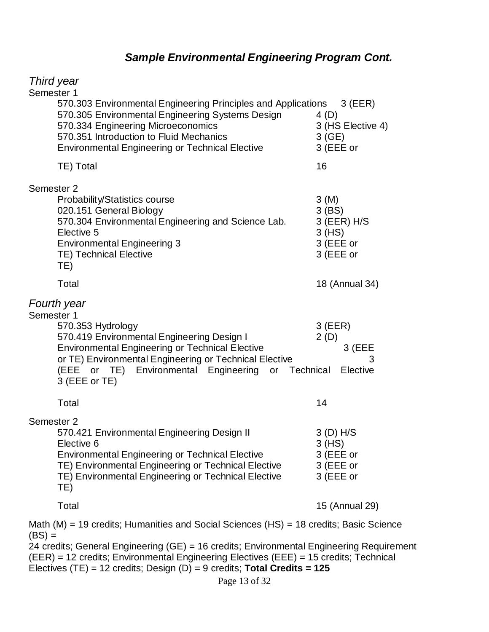# *Sample Environmental Engineering Program Cont.*

| Third year                                                                                                                                                                                                                                                                                  |                                                                         |
|---------------------------------------------------------------------------------------------------------------------------------------------------------------------------------------------------------------------------------------------------------------------------------------------|-------------------------------------------------------------------------|
| Semester 1<br>570.303 Environmental Engineering Principles and Applications 3 (EER)<br>570.305 Environmental Engineering Systems Design<br>570.334 Engineering Microeconomics<br>570.351 Introduction to Fluid Mechanics<br><b>Environmental Engineering or Technical Elective</b>          | 4 (D)<br>3 (HS Elective 4)<br>3(GE)<br>3 (EEE or                        |
| TE) Total                                                                                                                                                                                                                                                                                   | 16                                                                      |
| Semester 2<br><b>Probability/Statistics course</b><br>020.151 General Biology<br>570.304 Environmental Engineering and Science Lab.<br>Elective 5<br><b>Environmental Engineering 3</b><br><b>TE) Technical Elective</b><br>TE)                                                             | 3(M)<br>$3$ (BS)<br>$3$ (EER) H/S<br>$3$ (HS)<br>3 (EEE or<br>3 (EEE or |
| Total                                                                                                                                                                                                                                                                                       | 18 (Annual 34)                                                          |
| Fourth year<br>Semester 1<br>570.353 Hydrology<br>570.419 Environmental Engineering Design I<br><b>Environmental Engineering or Technical Elective</b><br>or TE) Environmental Engineering or Technical Elective<br>(EEE or TE) Environmental Engineering or Technical<br>3 (EEE or TE)     | $3$ (EER)<br>2(D)<br>3 (EEE<br>3<br>Elective                            |
| Total                                                                                                                                                                                                                                                                                       | 14                                                                      |
| Semester 2<br>570.421 Environmental Engineering Design II<br>Elective 6<br><b>Environmental Engineering or Technical Elective</b><br>TE) Environmental Engineering or Technical Elective<br>TE) Environmental Engineering or Technical Elective<br>TE)                                      | 3 (D) H/S<br>3 (HS)<br>3 (EEE or<br>3 (EEE or<br>3 (EEE or              |
| Total                                                                                                                                                                                                                                                                                       | 15 (Annual 29)                                                          |
| Math (M) = 19 credits; Humanities and Social Sciences (HS) = 18 credits; Basic Science<br>$(BS) =$<br>24 credits; General Engineering (GE) = 16 credits; Environmental Engineering Requirement<br>$(EED) - 12$ crodite: Environmental Engineering Electives $(EEE) - 15$ crodite: Technical |                                                                         |

(EER) = 12 credits; Environmental Engineering Electives (EEE) = 15 credits; Technical Electives (TE) = 12 credits; Design (D) = 9 credits; **Total Credits = 125**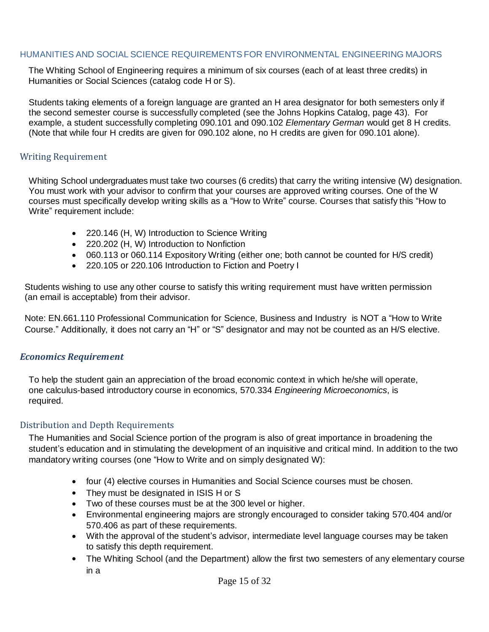#### <span id="page-13-0"></span>HUMANITIES AND SOCIAL SCIENCE REQUIREMENTSFOR ENVIRONMENTAL ENGINEERING MAJORS

The Whiting School of Engineering requires a minimum of six courses (each of at least three credits) in Humanities or Social Sciences (catalog code H or S).

Students taking elements of a foreign language are granted an H area designator for both semesters only if the second semester course is successfully completed (see the Johns Hopkins Catalog, page 43). For example, a student successfully completing 090.101 and 090.102 *Elementary German* would get 8 H credits. (Note that while four H credits are given for 090.102 alone, no H credits are given for 090.101 alone).

#### <span id="page-13-1"></span>Writing Requirement

Whiting School undergraduates must take two courses (6 credits) that carry the writing intensive (W) designation. You must work with your advisor to confirm that your courses are approved writing courses. One of the W courses must specifically develop writing skills as a "How to Write" course. Courses that satisfy this "How to Write" requirement include:

- 220.146 (H, W) Introduction to Science Writing
- 220.202 (H, W) Introduction to Nonfiction
- 060.113 or 060.114 Expository Writing (either one; both cannot be counted for H/S credit)
- 220.105 or 220.106 Introduction to Fiction and Poetry I

Students wishing to use any other course to satisfy this writing requirement must have written permission (an email is acceptable) from their advisor.

Note: EN.661.110 Professional [Communication](https://isis.jhu.edu/classes/results.aspx) for Science, Business and Industry is NOT a "How to Write Course." Additionally, it does not carry an "H" or "S" designator and may not be counted as an H/S elective.

#### <span id="page-13-2"></span>*Economics Requirement*

To help the student gain an appreciation of the broad economic context in which he/she will operate, one calculus-based introductory course in economics, 570.334 *Engineering Microeconomics*, is required.

### <span id="page-13-3"></span>Distribution and Depth Requirements

The Humanities and Social Science portion of the program is also of great importance in broadening the student's education and in stimulating the development of an inquisitive and critical mind. In addition to the two mandatory writing courses (one "How to Write and on simply designated W):

- four (4) elective courses in Humanities and Social Science courses must be chosen.
- They must be designated in ISIS H or S
- Two of these courses must be at the 300 level or higher.
- Environmental engineering majors are strongly encouraged to consider taking 570.404 and/or 570.406 as part of these requirements.
- With the approval of the student's advisor, intermediate level language courses may be taken to satisfy this depth requirement.
- The Whiting School (and the Department) allow the first two semesters of any elementary course in a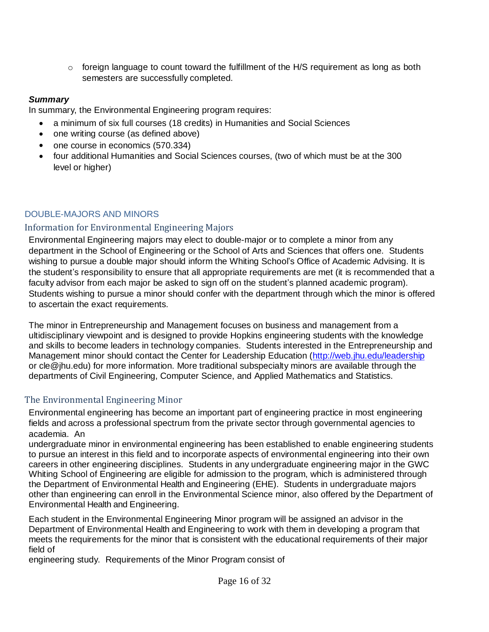$\circ$  foreign language to count toward the fulfillment of the H/S requirement as long as both semesters are successfully completed.

## *Summary*

In summary, the Environmental Engineering program requires:

- a minimum of six full courses (18 credits) in Humanities and Social Sciences
- one writing course (as defined above)
- one course in economics (570.334)
- four additional Humanities and Social Sciences courses, (two of which must be at the 300 level or higher)

## <span id="page-14-0"></span>DOUBLE-MAJORS AND MINORS

## <span id="page-14-1"></span>Information for Environmental Engineering Majors

Environmental Engineering majors may elect to double-major or to complete a minor from any department in the School of Engineering or the School of Arts and Sciences that offers one. Students wishing to pursue a double major should inform the Whiting School's Office of Academic Advising. It is the student's responsibility to ensure that all appropriate requirements are met (it is recommended that a faculty advisor from each major be asked to sign off on the student's planned academic program). Students wishing to pursue a minor should confer with the department through which the minor is offered to ascertain the exact requirements.

The minor in Entrepreneurship and Management focuses on business and management from a ultidisciplinary viewpoint and is designed to provide Hopkins engineering students with the knowledge and skills to become leaders in technology companies. Students interested in the Entrepreneurship and Management minor should contact the Center for Leadership Education [\(http://web.jhu.edu/leadership](http://web.jhu.edu/leadership) or cle@jhu.edu) for more information. More traditional subspecialty minors are available through the departments of Civil Engineering, Computer Science, and Applied Mathematics and Statistics.

## <span id="page-14-2"></span>The Environmental Engineering Minor

Environmental engineering has become an important part of engineering practice in most engineering fields and across a professional spectrum from the private sector through governmental agencies to academia. An

undergraduate minor in environmental engineering has been established to enable engineering students to pursue an interest in this field and to incorporate aspects of environmental engineering into their own careers in other engineering disciplines. Students in any undergraduate engineering major in the GWC Whiting School of Engineering are eligible for admission to the program, which is administered through the Department of Environmental Health and Engineering (EHE). Students in undergraduate majors other than engineering can enroll in the Environmental Science minor, also offered by the Department of Environmental Health and Engineering.

Each student in the Environmental Engineering Minor program will be assigned an advisor in the Department of Environmental Health and Engineering to work with them in developing a program that meets the requirements for the minor that is consistent with the educational requirements of their major field of

engineering study. Requirements of the Minor Program consist of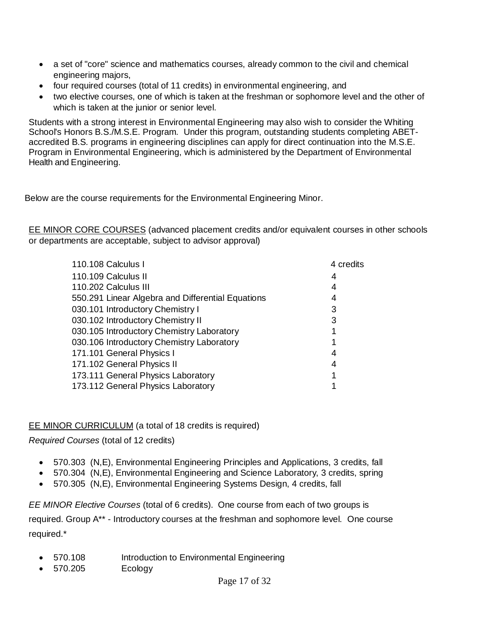- a set of "core" science and mathematics courses, already common to the civil and chemical engineering majors,
- four required courses (total of 11 credits) in environmental engineering, and
- two elective courses, one of which is taken at the freshman or sophomore level and the other of which is taken at the junior or senior level.

Students with a strong interest in Environmental Engineering may also wish to consider the Whiting School's Honors B.S./M.S.E. Program. Under this program, outstanding students completing ABETaccredited B.S. programs in engineering disciplines can apply for direct continuation into the M.S.E. Program in Environmental Engineering, which is administered by the Department of Environmental Health and Engineering.

Below are the course requirements for the Environmental Engineering Minor.

EE MINOR CORE COURSES (advanced placement credits and/or equivalent courses in other schools or departments are acceptable, subject to advisor approval)

| 110.108 Calculus I                                | 4 credits |
|---------------------------------------------------|-----------|
| 110.109 Calculus II                               | 4         |
| 110.202 Calculus III                              | 4         |
| 550.291 Linear Algebra and Differential Equations | 4         |
| 030.101 Introductory Chemistry I                  | 3         |
| 030.102 Introductory Chemistry II                 | 3         |
| 030.105 Introductory Chemistry Laboratory         |           |
| 030.106 Introductory Chemistry Laboratory         |           |
| 171.101 General Physics I                         | 4         |
| 171.102 General Physics II                        | 4         |
| 173.111 General Physics Laboratory                |           |
| 173.112 General Physics Laboratory                |           |

## EE MINOR CURRICULUM (a total of 18 credits is required)

*Required Courses* (total of 12 credits)

- 570.303 (N,E), Environmental Engineering Principles and Applications, 3 credits, fall
- 570.304 (N,E), Environmental Engineering and Science Laboratory, 3 credits, spring
- 570.305 (N,E), Environmental Engineering Systems Design, 4 credits, fall

*EE MINOR Elective Courses* (total of 6 credits). One course from each of two groups is required. Group A\*\* - Introductory courses at the freshman and sophomore level. One course required.\*

- 570.108 Introduction to Environmental Engineering
- 570.205 Ecology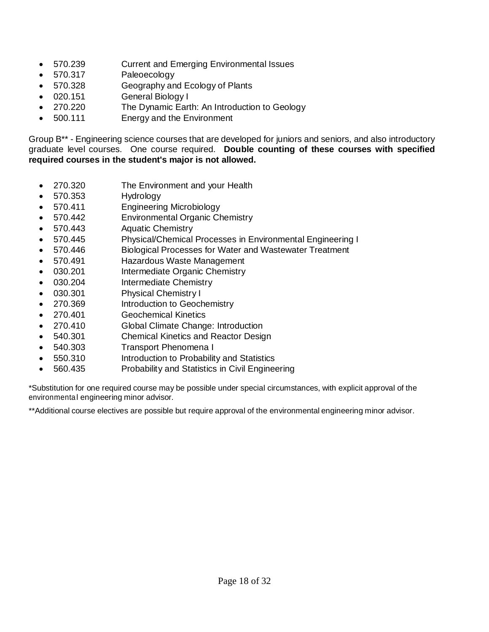- 570.239 Current and Emerging Environmental Issues
- 570.317 Paleoecology
- 570.328 Geography and Ecology of Plants
- 020.151 General Biology I
- 270.220 The Dynamic Earth: An Introduction to Geology
- 500.111 Energy and the Environment

Group B\*\* - Engineering science courses that are developed for juniors and seniors, and also introductory graduate level courses. One course required. **Double counting of these courses with specified required courses in the student's major is not allowed.**

- 270.320 The Environment and your Health
- 570.353 Hydrology
- 570.411 Engineering Microbiology
- 570.442 Environmental Organic Chemistry
- 570.443 Aquatic Chemistry
- 570.445 Physical/Chemical Processes in Environmental Engineering I
- 570.446 Biological Processes for Water and Wastewater Treatment
- 570.491 Hazardous Waste Management
- 030.201 Intermediate Organic Chemistry
- 030.204 Intermediate Chemistry
- 030.301 Physical Chemistry I
- 270.369 Introduction to Geochemistry
- 270.401 Geochemical Kinetics
- 270.410 Global Climate Change: Introduction
- 540.301 Chemical Kinetics and Reactor Design
- 540.303 Transport Phenomena I
- 550.310 Introduction to Probability and Statistics
- 560.435 Probability and Statistics in Civil Engineering

\*Substitution for one required course may be possible under special circumstances, with explicit approval of the environmental engineering minor advisor.

\*\*Additional course electives are possible but require approval of the environmental engineering minor advisor.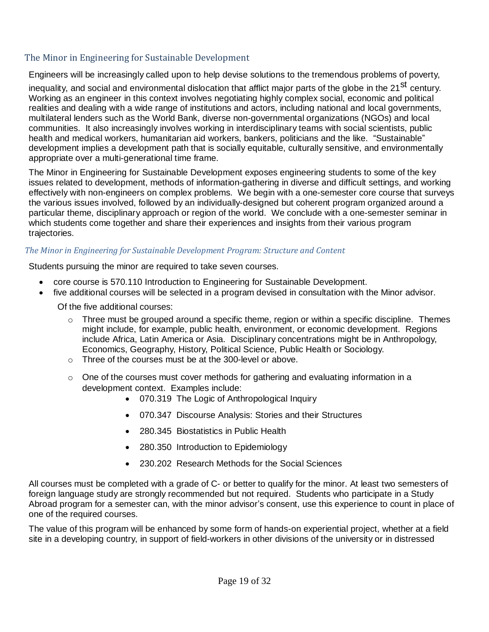## <span id="page-17-0"></span>The Minor in Engineering for Sustainable Development

Engineers will be increasingly called upon to help devise solutions to the tremendous problems of poverty,

inequality, and social and environmental dislocation that afflict major parts of the globe in the 21<sup>st</sup> century. Working as an engineer in this context involves negotiating highly complex social, economic and political realities and dealing with a wide range of institutions and actors, including national and local governments, multilateral lenders such as the World Bank, diverse non-governmental organizations (NGOs) and local communities. It also increasingly involves working in interdisciplinary teams with social scientists, public health and medical workers, humanitarian aid workers, bankers, politicians and the like. "Sustainable" development implies a development path that is socially equitable, culturally sensitive, and environmentally appropriate over a multi-generational time frame.

The Minor in Engineering for Sustainable Development exposes engineering students to some of the key issues related to development, methods of information-gathering in diverse and difficult settings, and working effectively with non-engineers on complex problems. We begin with a one-semester core course that surveys the various issues involved, followed by an individually-designed but coherent program organized around a particular theme, disciplinary approach or region of the world. We conclude with a one-semester seminar in which students come together and share their experiences and insights from their various program trajectories.

#### *The Minor in Engineering for Sustainable Development Program: Structure and Content*

Students pursuing the minor are required to take seven courses.

- core course is 570.110 Introduction to Engineering for Sustainable Development.
- five additional courses will be selected in a program devised in consultation with the Minor advisor.

Of the five additional courses:

- $\circ$  Three must be grouped around a specific theme, region or within a specific discipline. Themes might include, for example, public health, environment, or economic development. Regions include Africa, Latin America or Asia. Disciplinary concentrations might be in Anthropology, Economics, Geography, History, Political Science, Public Health or Sociology.
- o Three of the courses must be at the 300-level or above.
- o One of the courses must cover methods for gathering and evaluating information in a development context. Examples include:
	- 070.319 The Logic of Anthropological Inquiry
	- 070.347 Discourse Analysis: Stories and their Structures
	- 280.345 Biostatistics in Public Health
	- 280.350 Introduction to Epidemiology
	- 230.202 Research Methods for the Social Sciences

All courses must be completed with a grade of C- or better to qualify for the minor. At least two semesters of foreign language study are strongly recommended but not required. Students who participate in a Study Abroad program for a semester can, with the minor advisor's consent, use this experience to count in place of one of the required courses.

The value of this program will be enhanced by some form of hands-on experiential project, whether at a field site in a developing country, in support of field-workers in other divisions of the university or in distressed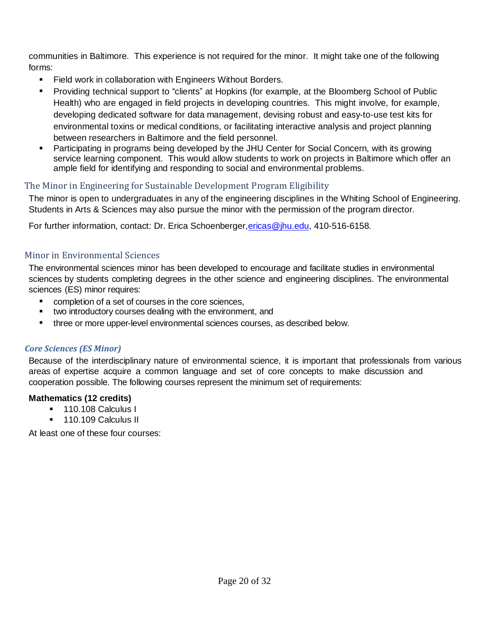communities in Baltimore. This experience is not required for the minor. It might take one of the following forms:

- **Field work in collaboration with Engineers Without Borders.**
- Providing technical support to "clients" at Hopkins (for example, at the Bloomberg School of Public Health) who are engaged in field projects in developing countries. This might involve, for example, developing dedicated software for data management, devising robust and easy-to-use test kits for environmental toxins or medical conditions, or facilitating interactive analysis and project planning between researchers in Baltimore and the field personnel.
- Participating in programs being developed by the JHU Center for Social Concern, with its growing service learning component. This would allow students to work on projects in Baltimore which offer an ample field for identifying and responding to social and environmental problems.

## <span id="page-18-0"></span>The Minor in Engineering for Sustainable Development Program Eligibility

The minor is open to undergraduates in any of the engineering disciplines in the Whiting School of Engineering. Students in Arts & Sciences may also pursue the minor with the permission of the program director.

For further information, contact: Dr. Erica Schoenberger, ericas@jhu.edu, 410-516-6158.

### <span id="page-18-1"></span>Minor in Environmental Sciences

The environmental sciences minor has been developed to encourage and facilitate studies in environmental sciences by students completing degrees in the other science and engineering disciplines. The environmental sciences (ES) minor requires:

- **•** completion of a set of courses in the core sciences,
- two introductory courses dealing with the environment, and
- three or more upper-level environmental sciences courses, as described below.

### *Core Sciences (ES Minor)*

Because of the interdisciplinary nature of environmental science, it is important that professionals from various areas of expertise acquire a common language and set of core concepts to make discussion and cooperation possible. The following courses represent the minimum set of requirements:

### **Mathematics (12 credits)**

- <sup>1</sup>10.108 Calculus I
- **110.109 Calculus II**

At least one of these four courses: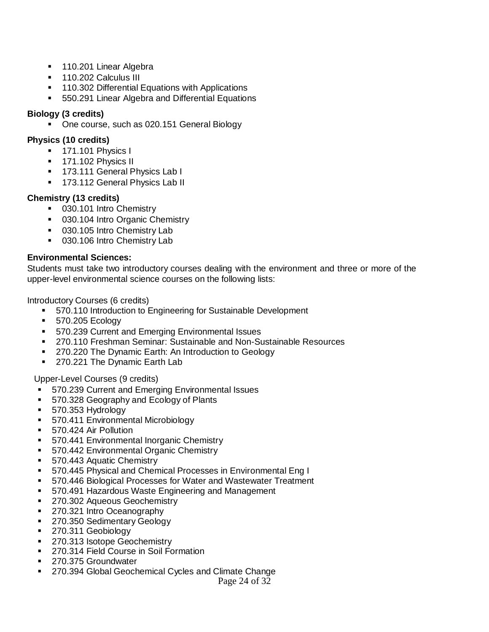- **110.201 Linear Algebra**
- **110.202 Calculus III**
- **110.302 Differential Equations with Applications**
- 550.291 Linear Algebra and Differential Equations

#### **Biology (3 credits)**

• One course, such as 020.151 General Biology

#### **Physics (10 credits)**

- **171.101 Physics I**
- <sup>1</sup> 171.102 Physics II
- <sup>1</sup> 173.111 General Physics Lab I
- <sup>1</sup> 173.112 General Physics Lab II

#### **Chemistry (13 credits)**

- 030.101 Intro Chemistry
- **030.104 Intro Organic Chemistry**
- 030.105 Intro Chemistry Lab
- **030.106 Intro Chemistry Lab**

#### **Environmental Sciences:**

Students must take two introductory courses dealing with the environment and three or more of the upper-level environmental science courses on the following lists:

#### Introductory Courses (6 credits)

- **570.110 Introduction to Engineering for Sustainable Development**
- **570.205 Ecology**
- **570.239 Current and Emerging Environmental Issues**
- 270.110 Freshman Seminar: Sustainable and Non-Sustainable Resources
- **270.220 The Dynamic Earth: An Introduction to Geology**
- **270.221 The Dynamic Earth Lab**

Upper-Level Courses (9 credits)

- 570.239 Current and Emerging Environmental Issues
- 570.328 Geography and Ecology of Plants
- **570.353 Hydrology**
- **570.411 Environmental Microbiology**
- 570.424 Air Pollution
- **570.441 Environmental Inorganic Chemistry**
- **570.442 Environmental Organic Chemistry**
- **570.443 Aquatic Chemistry**
- 570.445 Physical and Chemical Processes in Environmental Eng I
- 570.446 Biological Processes for Water and Wastewater Treatment
- 570.491 Hazardous Waste Engineering and Management
- **270.302 Aqueous Geochemistry**
- 270.321 Intro Oceanography
- 270.350 Sedimentary Geology
- 270.311 Geobiology
- 270.313 Isotope Geochemistry
- **270.314 Field Course in Soil Formation**
- 270.375 Groundwater
- 270.394 Global Geochemical Cycles and Climate Change

Page 24 of 32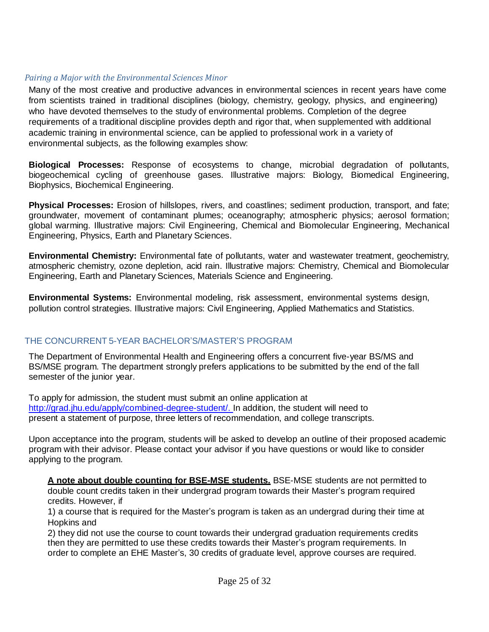#### *Pairing a Major with the Environmental Sciences Minor*

Many of the most creative and productive advances in environmental sciences in recent years have come from scientists trained in traditional disciplines (biology, chemistry, geology, physics, and engineering) who have devoted themselves to the study of environmental problems. Completion of the degree requirements of a traditional discipline provides depth and rigor that, when supplemented with additional academic training in environmental science, can be applied to professional work in a variety of environmental subjects, as the following examples show:

**Biological Processes:** Response of ecosystems to change, microbial degradation of pollutants, biogeochemical cycling of greenhouse gases. Illustrative majors: Biology, Biomedical Engineering, Biophysics, Biochemical Engineering.

**Physical Processes:** Erosion of hillslopes, rivers, and coastlines; sediment production, transport, and fate; groundwater, movement of contaminant plumes; oceanography; atmospheric physics; aerosol formation; global warming. Illustrative majors: Civil Engineering, Chemical and Biomolecular Engineering, Mechanical Engineering, Physics, Earth and Planetary Sciences.

**Environmental Chemistry:** Environmental fate of pollutants, water and wastewater treatment, geochemistry, atmospheric chemistry, ozone depletion, acid rain. Illustrative majors: Chemistry, Chemical and Biomolecular Engineering, Earth and Planetary Sciences, Materials Science and Engineering.

**Environmental Systems:** Environmental modeling, risk assessment, environmental systems design, pollution control strategies. Illustrative majors: Civil Engineering, Applied Mathematics and Statistics.

### <span id="page-20-0"></span>THE CONCURRENT 5-YEAR BACHELOR'S/MASTER'S PROGRAM

The Department of Environmental Health and Engineering offers a concurrent five-year BS/MS and BS/MSE program. The department strongly prefers applications to be submitted by the end of the fall semester of the junior year.

To apply for admission, the student must submit an online application at [http://grad.jhu.edu/apply/combined-degree-student/.](http://grad.jhu.edu/apply/combined-degree-student/) In addition, the student will need to present a statement of purpose, three letters of recommendation, and college transcripts.

Upon acceptance into the program, students will be asked to develop an outline of their proposed academic program with their advisor. Please contact your advisor if you have questions or would like to consider applying to the program.

**A note about double counting for BSE-MSE students.** BSE-MSE students are not permitted to double count credits taken in their undergrad program towards their Master's program required credits. However, if

1) a course that is required for the Master's program is taken as an undergrad during their time at Hopkins and

2) they did not use the course to count towards their undergrad graduation requirements credits then they are permitted to use these credits towards their Master's program requirements. In order to complete an EHE Master's, 30 credits of graduate level, approve courses are required.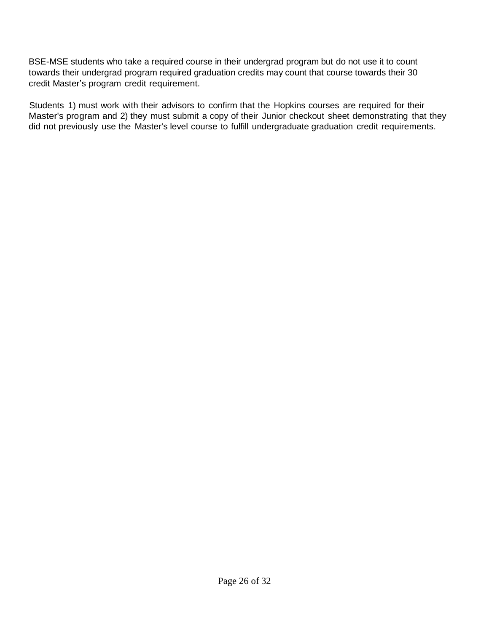BSE-MSE students who take a required course in their undergrad program but do not use it to count towards their undergrad program required graduation credits may count that course towards their 30 credit Master's program credit requirement.

Students 1) must work with their advisors to confirm that the Hopkins courses are required for their Master's program and 2) they must submit a copy of their Junior checkout sheet demonstrating that they did not previously use the Master's level course to fulfill undergraduate graduation credit requirements.